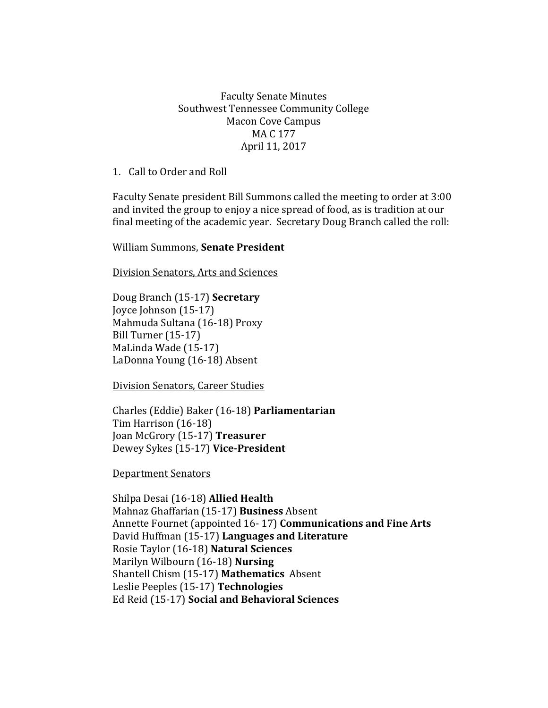## Faculty Senate Minutes Southwest Tennessee Community College Macon Cove Campus MA C 177 April 11, 2017

1. Call to Order and Roll

Faculty Senate president Bill Summons called the meeting to order at 3:00 and invited the group to enjoy a nice spread of food, as is tradition at our final meeting of the academic year. Secretary Doug Branch called the roll:

William Summons, **Senate President**

Division Senators, Arts and Sciences

Doug Branch (15-17) **Secretary** Joyce Johnson (15-17) Mahmuda Sultana (16-18) Proxy Bill Turner (15-17) MaLinda Wade (15-17) LaDonna Young (16-18) Absent

Division Senators, Career Studies

Charles (Eddie) Baker (16-18) **Parliamentarian** Tim Harrison (16-18) Joan McGrory (15-17) **Treasurer** Dewey Sykes (15-17) **Vice-President**

Department Senators

Shilpa Desai (16-18) **Allied Health** Mahnaz Ghaffarian (15-17) **Business** Absent Annette Fournet (appointed 16- 17) **Communications and Fine Arts** David Huffman (15-17) **Languages and Literature** Rosie Taylor (16-18) **Natural Sciences**  Marilyn Wilbourn (16-18) **Nursing** Shantell Chism (15-17) **Mathematics** Absent Leslie Peeples (15-17) **Technologies**  Ed Reid (15-17) **Social and Behavioral Sciences**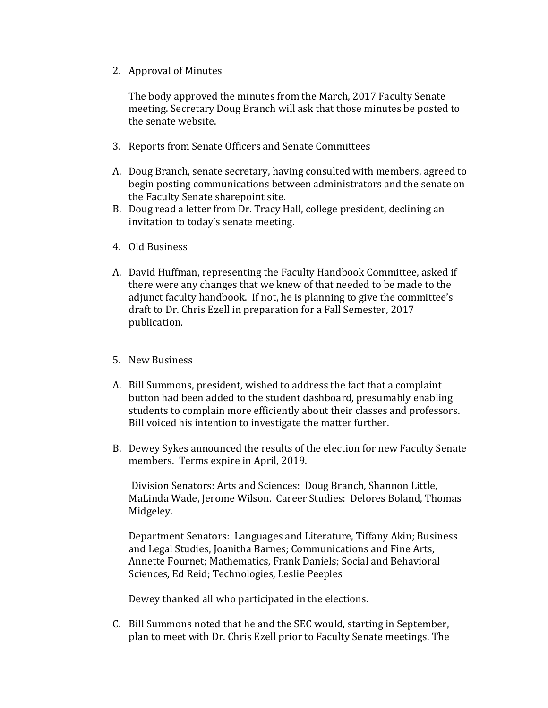2. Approval of Minutes

The body approved the minutes from the March, 2017 Faculty Senate meeting. Secretary Doug Branch will ask that those minutes be posted to the senate website.

- 3. Reports from Senate Officers and Senate Committees
- A. Doug Branch, senate secretary, having consulted with members, agreed to begin posting communications between administrators and the senate on the Faculty Senate sharepoint site.
- B. Doug read a letter from Dr. Tracy Hall, college president, declining an invitation to today's senate meeting.
- 4. Old Business
- A. David Huffman, representing the Faculty Handbook Committee, asked if there were any changes that we knew of that needed to be made to the adjunct faculty handbook. If not, he is planning to give the committee's draft to Dr. Chris Ezell in preparation for a Fall Semester, 2017 publication.
- 5. New Business
- A. Bill Summons, president, wished to address the fact that a complaint button had been added to the student dashboard, presumably enabling students to complain more efficiently about their classes and professors. Bill voiced his intention to investigate the matter further.
- B. Dewey Sykes announced the results of the election for new Faculty Senate members. Terms expire in April, 2019.

Division Senators: Arts and Sciences: Doug Branch, Shannon Little, MaLinda Wade, Jerome Wilson. Career Studies: Delores Boland, Thomas Midgeley.

Department Senators: Languages and Literature, Tiffany Akin; Business and Legal Studies, Joanitha Barnes; Communications and Fine Arts, Annette Fournet; Mathematics, Frank Daniels; Social and Behavioral Sciences, Ed Reid; Technologies, Leslie Peeples

Dewey thanked all who participated in the elections.

C. Bill Summons noted that he and the SEC would, starting in September, plan to meet with Dr. Chris Ezell prior to Faculty Senate meetings. The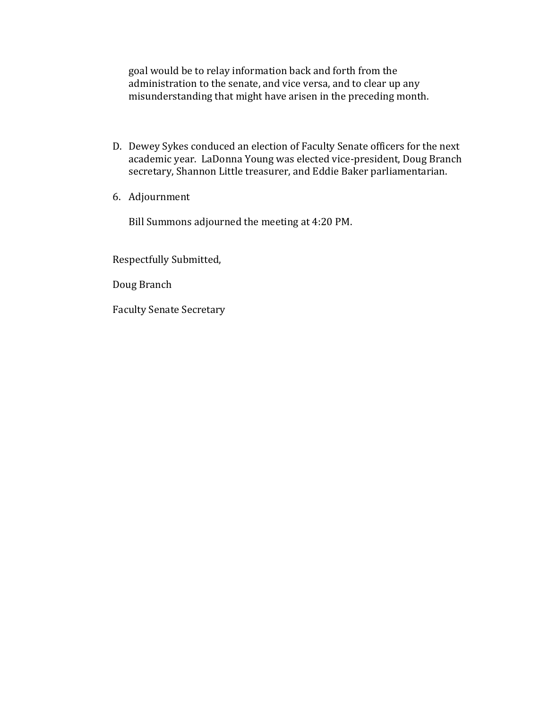goal would be to relay information back and forth from the administration to the senate, and vice versa, and to clear up any misunderstanding that might have arisen in the preceding month.

- D. Dewey Sykes conduced an election of Faculty Senate officers for the next academic year. LaDonna Young was elected vice-president, Doug Branch secretary, Shannon Little treasurer, and Eddie Baker parliamentarian.
- 6. Adjournment

Bill Summons adjourned the meeting at 4:20 PM.

Respectfully Submitted,

Doug Branch

Faculty Senate Secretary